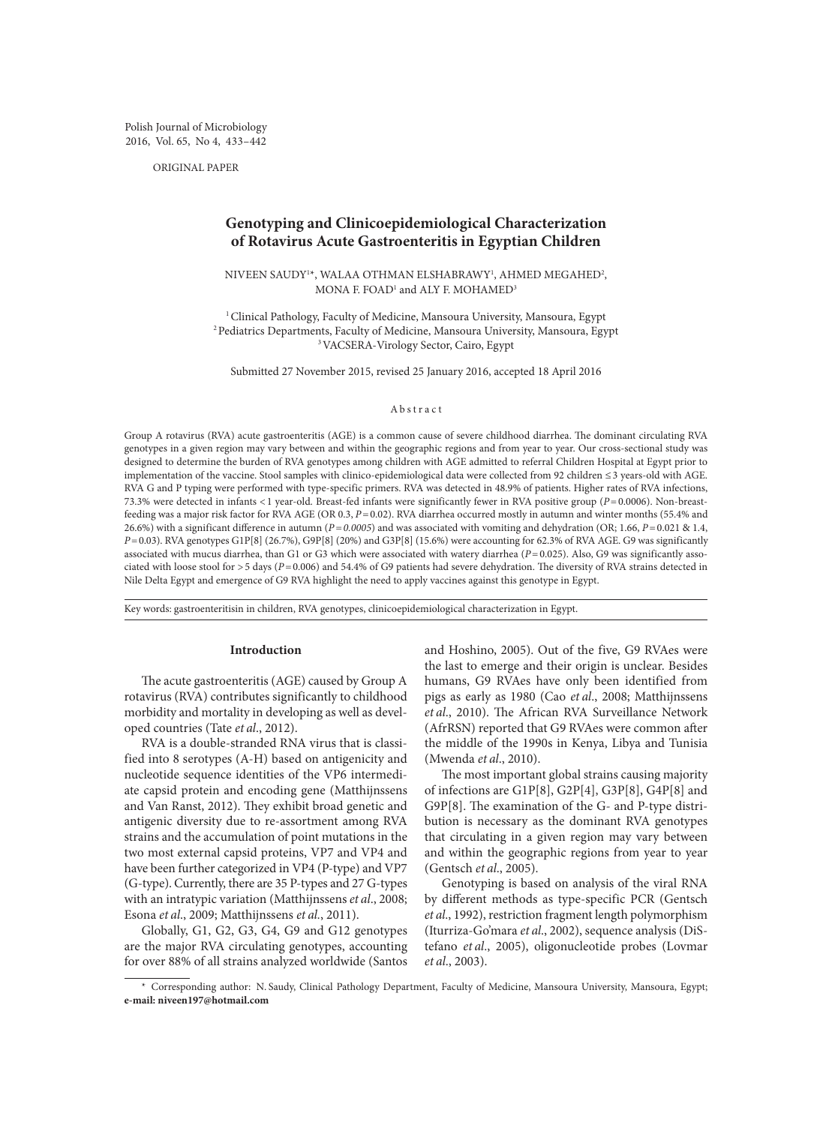Polish Journal of Microbiology 2016, Vol. 65, No 4, 433–442

ORIGINAL PAPER

# **Genotyping and Clinicoepidemiological Characterization of Rotavirus Acute Gastroenteritis in Egyptian Children**

 $\rm NIVERN$  SAUDY $\rm ^{1*}$ , WALAA OTHMAN ELSHABRAWY $\rm l$ , AHMED MEGAHED $\rm ^{2}$ , MONA F. FOAD<sup>1</sup> and ALY F. MOHAMED<sup>3</sup>

<sup>1</sup> Clinical Pathology, Faculty of Medicine, Mansoura University, Mansoura, Egypt <sup>2</sup> Pediatrics Departments, Faculty of Medicine, Mansoura University, Mansoura, Egypt 3VACSERA-Virology Sector, Cairo, Egypt

Submitted 27 November 2015, revised 25 January 2016, accepted 18 April 2016

#### Abstract

Group A rotavirus (RVA) acute gastroenteritis (AGE) is a common cause of severe childhood diarrhea. The dominant circulating RVA genotypes in a given region may vary between and within the geographic regions and from year to year. Our cross-sectional study was designed to determine the burden of RVA genotypes among children with AGE admitted to referral Children Hospital at Egypt prior to implementation of the vaccine. Stool samples with clinico-epidemiological data were collected from 92 children ≤3 years-old with AGE. RVA G and P typing were performed with type-specific primers. RVA was detected in 48.9% of patients. Higher rates of RVA infections, 73.3% were detected in infants <1 year-old. Breast-fed infants were significantly fewer in RVA positive group (*P*=0.0006). Non-breastfeeding was a major risk factor for RVA AGE (OR 0.3, *P*=0.02). RVA diarrhea occurred mostly in autumn and winter months (55.4% and 26.6%) with a significant difference in autumn (*P=0.0005*) and was associated with vomiting and dehydration (OR; 1.66, *P*=0.021 & 1.4, *P*=0.03). RVA genotypes G1P[8] (26.7%), G9P[8] (20%) and G3P[8] (15.6%) were accounting for 62.3% of RVA AGE. G9 was significantly associated with mucus diarrhea, than G1 or G3 which were associated with watery diarrhea (P=0.025). Also, G9 was significantly associated with loose stool for >5 days (*P*=0.006) and 54.4% of G9 patients had severe dehydration. The diversity of RVA strains detected in Nile Delta Egypt and emergence of G9 RVA highlight the need to apply vaccines against this genotype in Egypt.

Key words: gastroenteritisin in children, RVA genotypes, clinicoepidemiological characterization in Egypt.

## **Introduction**

The acute gastroenteritis (AGE) caused by Group A rotavirus (RVA) contributes significantly to childhood morbidity and mortality in developing as well as developed countries (Tate *et al*., 2012).

RVA is a double-stranded RNA virus that is classified into 8 serotypes (A-H) based on antigenicity and nucleotide sequence identities of the VP6 intermediate capsid protein and encoding gene (Matthijnssens and Van Ranst, 2012). They exhibit broad genetic and antigenic diversity due to re-assortment among RVA strains and the accumulation of point mutations in the two most external capsid proteins, VP7 and VP4 and have been further categorized in VP4 (P-type) and VP7 (G-type). Currently, there are 35 P-types and 27 G-types with an intratypic variation (Matthijnssens *et al*., 2008; Esona *et al*., 2009; Matthijnssens *et al.*, 2011).

Globally, G1, G2, G3, G4, G9 and G12 genotypes are the major RVA circulating genotypes, accounting for over 88% of all strains analyzed worldwide (Santos and Hoshino, 2005). Out of the five, G9 RVAes were the last to emerge and their origin is unclear. Besides humans, G9 RVAes have only been identified from pigs as early as 1980 (Cao *et al*., 2008; Matthijnssens *et al*., 2010). The African RVA Surveillance Network (AfrRSN) reported that G9 RVAes were common after the middle of the 1990s in Kenya, Libya and Tunisia (Mwenda *et al*., 2010).

The most important global strains causing majority of infections are G1P[8], G2P[4], G3P[8], G4P[8] and G9P[8]. The examination of the G- and P-type distribution is necessary as the dominant RVA genotypes that circulating in a given region may vary between and within the geographic regions from year to year (Gentsch *et al*., 2005).

Genotyping is based on analysis of the viral RNA by different methods as type-specific PCR (Gentsch *et al*., 1992), restriction fragment length polymorphism (Iturriza-Go'mara *et al*., 2002), sequence analysis (DiStefano *et al*., 2005), oligonucleotide probes (Lovmar *et al*., 2003).

<sup>\*</sup> Corresponding author: N. Saudy, Clinical Pathology Department, Faculty of Medicine, Mansoura University, Mansoura, Egypt; **e-mail: niveen197@hotmail.com**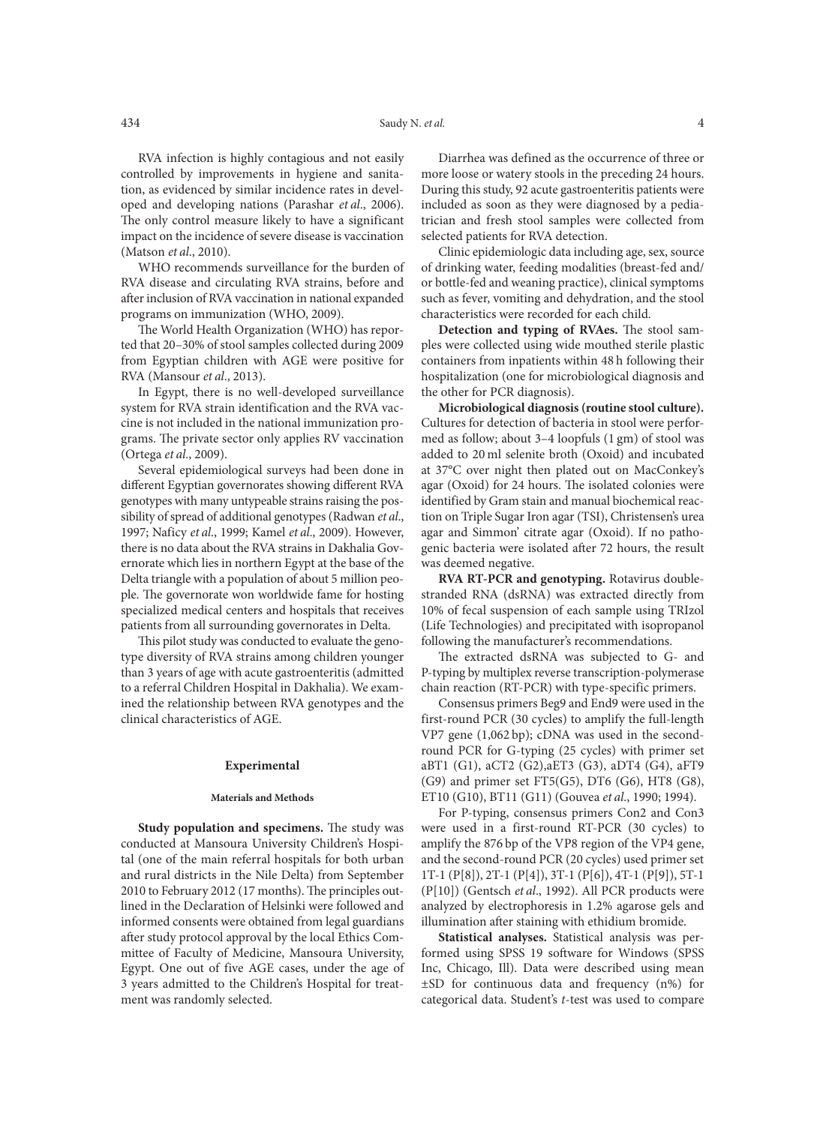RVA infection is highly contagious and not easily controlled by improvements in hygiene and sanitation, as evidenced by similar incidence rates in developed and developing nations (Parashar *et al*., 2006). The only control measure likely to have a significant impact on the incidence of severe disease is vaccination (Matson *et al*., 2010).

WHO recommends surveillance for the burden of RVA disease and circulating RVA strains, before and after inclusion of RVA vaccination in national expanded programs on immunization (WHO, 2009).

The World Health Organization (WHO) has reported that 20–30% of stool samples collected during 2009 from Egyptian children with AGE were positive for RVA (Mansour *et al*., 2013).

In Egypt, there is no well-developed surveillance system for RVA strain identification and the RVA vaccine is not included in the national immunization programs. The private sector only applies RV vaccination (Ortega *et al*., 2009).

Several epidemiological surveys had been done in different Egyptian governorates showing different RVA genotypes with many untypeable strains raising the possibility of spread of additional genotypes (Radwan *et al*., 1997; Naficy *et al*., 1999; Kamel *et al*., 2009). However, there is no data about the RVA strains in Dakhalia Governorate which lies in northern Egypt at the base of the Delta triangle with a population of about 5 million people. The governorate won worldwide fame for hosting specialized medical centers and hospitals that receives patients from all surrounding governorates in Delta.

This pilot study was conducted to evaluate the genotype diversity of RVA strains among children younger than 3 years of age with acute gastroenteritis (admitted to a referral Children Hospital in Dakhalia). We examined the relationship between RVA genotypes and the clinical characteristics of AGE.

### **Experimental**

#### **Materials and Methods**

**Study population and specimens.** The study was conducted at Mansoura University Children's Hospital (one of the main referral hospitals for both urban and rural districts in the Nile Delta) from September 2010 to February 2012 (17 months). The principles outlined in the Declaration of Helsinki were followed and informed consents were obtained from legal guardians after study protocol approval by the local Ethics Committee of Faculty of Medicine, Mansoura University, Egypt. One out of five AGE cases, under the age of 3 years admitted to the Children's Hospital for treatment was randomly selected.

Diarrhea was defined as the occurrence of three or more loose or watery stools in the preceding 24 hours. During this study, 92 acute gastroenteritis patients were included as soon as they were diagnosed by a pediatrician and fresh stool samples were collected from selected patients for RVA detection.

Clinic epidemiologic data including age, sex, source of drinking water, feeding modalities (breast-fed and/ or bottle-fed and weaning practice), clinical symptoms such as fever, vomiting and dehydration, and the stool characteristics were recorded for each child.

**Detection and typing of RVAes.** The stool samples were collected using wide mouthed sterile plastic containers from inpatients within 48 h following their hospitalization (one for microbiological diagnosis and the other for PCR diagnosis).

**Microbiological diagnosis (routine stool culture).**  Cultures for detection of bacteria in stool were performed as follow; about 3–4 loopfuls (1 gm) of stool was added to 20 ml selenite broth (Oxoid) and incubated at 37°C over night then plated out on MacConkey's agar (Oxoid) for 24 hours. The isolated colonies were identified by Gram stain and manual biochemical reaction on Triple Sugar Iron agar (TSI), Christensen's urea agar and Simmon' citrate agar (Oxoid). If no pathogenic bacteria were isolated after 72 hours, the result was deemed negative.

**RVA RT-PCR and genotyping.** Rotavirus doublestranded RNA (dsRNA) was extracted directly from 10% of fecal suspension of each sample using TRIzol (Life Technologies) and precipitated with isopropanol following the manufacturer's recommendations.

The extracted dsRNA was subjected to G- and P-typing by multiplex reverse transcription-polymerase chain reaction (RT-PCR) with type-specific primers.

Consensus primers Beg9 and End9 were used in the first-round PCR (30 cycles) to amplify the full-length VP7 gene (1,062 bp); cDNA was used in the secondround PCR for G-typing (25 cycles) with primer set aBT1 (G1), aCT2 (G2),aET3 (G3), aDT4 (G4), aFT9 (G9) and primer set FT5(G5), DT6 (G6), HT8 (G8), ET10 (G10), BT11 (G11) (Gouvea *et al*., 1990; 1994).

For P-typing, consensus primers Con2 and Con3 were used in a first-round RT-PCR (30 cycles) to amplify the 876 bp of the VP8 region of the VP4 gene, and the second-round PCR (20 cycles) used primer set 1T-1 (P[8]), 2T-1 (P[4]), 3T-1 (P[6]), 4T-1 (P[9]), 5T-1 (P[10]) (Gentsch *et al*., 1992). All PCR products were analyzed by electrophoresis in 1.2% agarose gels and illumination after staining with ethidium bromide.

**Statistical analyses.** Statistical analysis was performed using SPSS 19 software for Windows (SPSS Inc, Chicago, Ill). Data were described using mean ±SD for continuous data and frequency (n%) for categorical data. Student's *t*-test was used to compare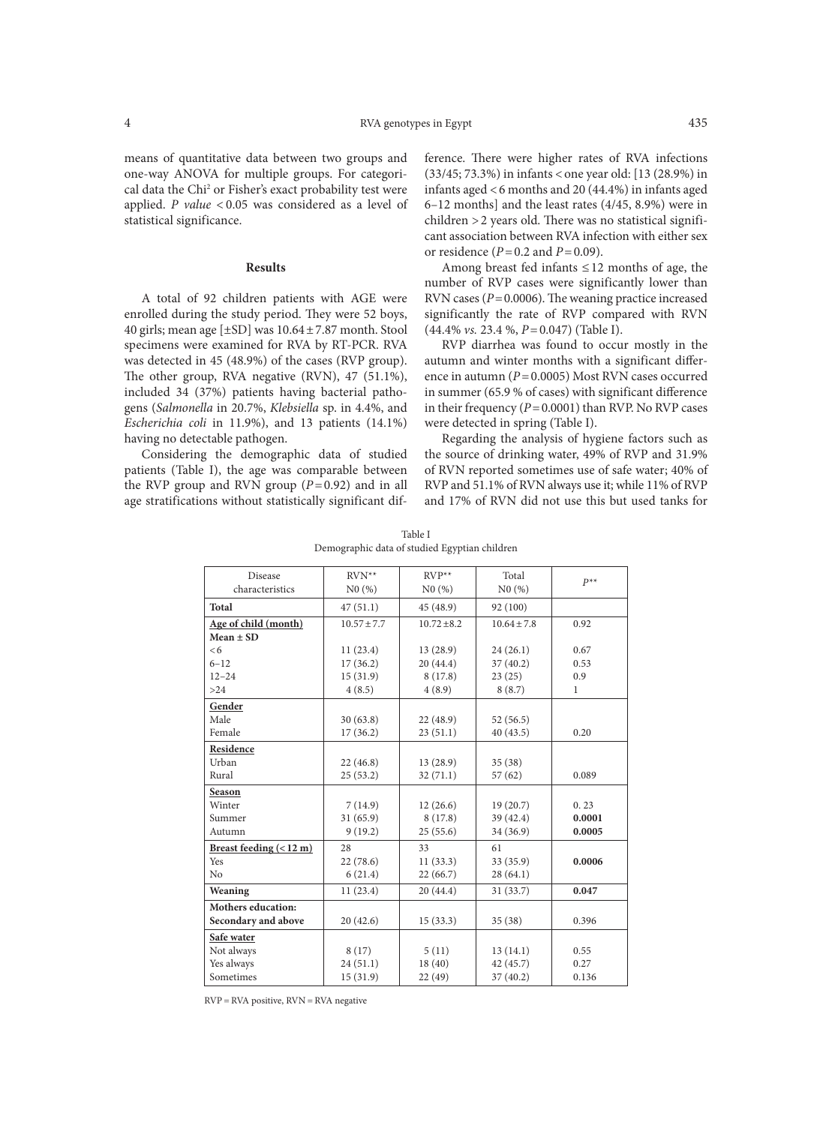means of quantitative data between two groups and one-way ANOVA for multiple groups. For categorical data the Chi<sup>2</sup> or Fisher's exact probability test were applied. *P value* < 0.05 was considered as a level of statistical significance.

#### **Results**

A total of 92 children patients with AGE were enrolled during the study period. They were 52 boys, 40 girls; mean age  $[\pm SD]$  was  $10.64 \pm 7.87$  month. Stool specimens were examined for RVA by RT-PCR. RVA was detected in 45 (48.9%) of the cases (RVP group). The other group, RVA negative (RVN), 47 (51.1%), included 34 (37%) patients having bacterial pathogens (*Salmonella* in 20.7%, *Klebsiella* sp. in 4.4%, and *Escherichia coli* in 11.9%), and 13 patients (14.1%) having no detectable pathogen.

Considering the demographic data of studied patients (Table I), the age was comparable between the RVP group and RVN group (*P*=0.92) and in all age stratifications without statistically significant difference. There were higher rates of RVA infections (33/45; 73.3%) in infants < one year old: [13 (28.9%) in infants aged <6 months and 20 (44.4%) in infants aged 6–12 months] and the least rates (4/45, 8.9%) were in children >2 years old. There was no statistical significant association between RVA infection with either sex or residence  $(P=0.2$  and  $P=0.09$ ).

Among breast fed infants ≤12 months of age, the number of RVP cases were significantly lower than RVN cases (*P*=0.0006). The weaning practice increased significantly the rate of RVP compared with RVN (44.4% *vs.* 23.4 %, *P*=0.047) (Table I).

RVP diarrhea was found to occur mostly in the autumn and winter months with a significant difference in autumn (*P*=0.0005) Most RVN cases occurred in summer (65.9 % of cases) with significant difference in their frequency (*P*=0.0001) than RVP. No RVP cases were detected in spring (Table I).

Regarding the analysis of hygiene factors such as the source of drinking water, 49% of RVP and 31.9% of RVN reported sometimes use of safe water; 40% of RVP and 51.1% of RVN always use it; while 11% of RVP and 17% of RVN did not use this but used tanks for

Table I Demographic data of studied Egyptian children

| <b>Disease</b>                    | $RVN**$         | $RVP^{**}$    | Total           | $P^{**}$     |
|-----------------------------------|-----------------|---------------|-----------------|--------------|
| characteristics                   | N0(%)           | N0(%)         | N0(%)           |              |
| <b>Total</b>                      | 47(51.1)        | 45 (48.9)     | 92 (100)        |              |
| Age of child (month)              | $10.57 \pm 7.7$ | $10.72 + 8.2$ | $10.64 \pm 7.8$ | 0.92         |
| $Mean \pm SD$                     |                 |               |                 |              |
| <6                                | 11(23.4)        | 13(28.9)      | 24(26.1)        | 0.67         |
| $6 - 12$                          | 17(36.2)        | 20(44.4)      | 37(40.2)        | 0.53         |
| $12 - 24$                         | 15(31.9)        | 8(17.8)       | 23(25)          | 0.9          |
| >24                               | 4(8.5)          | 4(8.9)        | 8(8.7)          | $\mathbf{1}$ |
| Gender                            |                 |               |                 |              |
| Male                              | 30(63.8)        | 22 (48.9)     | 52(56.5)        |              |
| Female                            | 17(36.2)        | 23(51.1)      | 40 (43.5)       | 0.20         |
| Residence                         |                 |               |                 |              |
| Urban                             | 22(46.8)        | 13(28.9)      | 35(38)          |              |
| Rural                             | 25(53.2)        | 32(71.1)      | 57(62)          | 0.089        |
| Season                            |                 |               |                 |              |
| Winter                            | 7(14.9)         | 12(26.6)      | 19(20.7)        | 0.23         |
| Summer                            | 31(65.9)        | 8(17.8)       | 39 (42.4)       | 0.0001       |
| Autumn                            | 9(19.2)         | 25(55.6)      | 34 (36.9)       | 0.0005       |
| Breast feeding $(< 12 \text{ m})$ | 28              | 33            | 61              |              |
| Yes                               | 22(78.6)        | 11(33.3)      | 33 (35.9)       | 0.0006       |
| No                                | 6(21.4)         | 22(66.7)      | 28(64.1)        |              |
| Weaning                           | 11(23.4)        | 20(44.4)      | 31(33.7)        | 0.047        |
| <b>Mothers education:</b>         |                 |               |                 |              |
| Secondary and above               | 20(42.6)        | 15(33.3)      | 35(38)          | 0.396        |
| Safe water                        |                 |               |                 |              |
| Not always                        | 8(17)           | 5(11)         | 13(14.1)        | 0.55         |
| Yes always                        | 24(51.1)        | 18(40)        | 42(45.7)        | 0.27         |
| Sometimes                         | 15(31.9)        | 22(49)        | 37(40.2)        | 0.136        |
|                                   |                 |               |                 |              |

RVP = RVA positive, RVN = RVA negative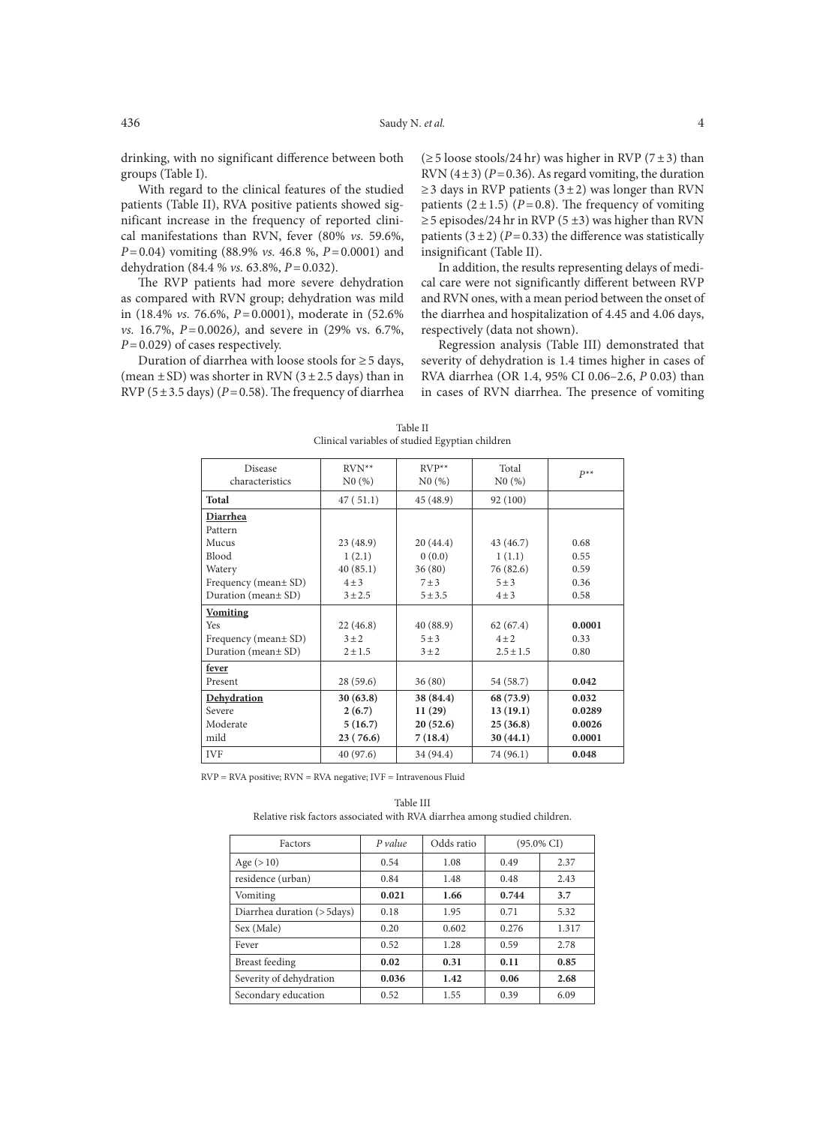drinking, with no significant difference between both groups (Table I).

With regard to the clinical features of the studied patients (Table II), RVA positive patients showed significant increase in the frequency of reported clinical manifestations than RVN, fever (80% *vs.* 59.6%, *P*=0.04) vomiting (88.9% *vs.* 46.8 %, *P*=0.0001) and dehydration (84.4 % *vs.* 63.8%, *P*=0.032).

The RVP patients had more severe dehydration as compared with RVN group; dehydration was mild in (18.4% *vs.* 76.6%, *P*=0.0001), moderate in (52.6% *vs.* 16.7%, *P*=0.0026*)*, and severe in (29% vs. 6.7%, *P*=0.029) of cases respectively.

Duration of diarrhea with loose stools for  $\geq$  5 days, (mean  $\pm$  SD) was shorter in RVN (3 $\pm$  2.5 days) than in RVP ( $5 \pm 3.5$  days) ( $P = 0.58$ ). The frequency of diarrhea  $(\geq 5 \text{ loose stocks}/24 \text{ hr})$  was higher in RVP (7±3) than RVN  $(4\pm3)$  ( $P=0.36$ ). As regard vomiting, the duration  $\geq$ 3 days in RVP patients (3±2) was longer than RVN patients  $(2 \pm 1.5)$  ( $P = 0.8$ ). The frequency of vomiting  $\geq$  5 episodes/24 hr in RVP (5  $\pm$ 3) was higher than RVN patients  $(3 \pm 2)$  ( $P = 0.33$ ) the difference was statistically insignificant (Table II).

In addition, the results representing delays of medical care were not significantly different between RVP and RVN ones, with a mean period between the onset of the diarrhea and hospitalization of 4.45 and 4.06 days, respectively (data not shown).

Regression analysis (Table III) demonstrated that severity of dehydration is 1.4 times higher in cases of RVA diarrhea (OR 1.4, 95% CI 0.06–2.6, *P* 0.03) than in cases of RVN diarrhea. The presence of vomiting

| Disease<br>characteristics | $RVN**$<br>N0(%) | $RVP^{**}$<br>N0(%) | Total<br>N0(%) | $P^{**}$ |
|----------------------------|------------------|---------------------|----------------|----------|
| <b>Total</b>               | 47(51.1)         | 45 (48.9)           | 92 (100)       |          |
| Diarrhea                   |                  |                     |                |          |
| Pattern                    |                  |                     |                |          |
| Mucus                      | 23 (48.9)        | 20(44.4)            | 43 (46.7)      | 0.68     |
| Blood                      | 1(2.1)           | 0(0.0)              | 1(1.1)         | 0.55     |
| Watery                     | 40(85.1)         | 36(80)              | 76 (82.6)      | 0.59     |
| Frequency (mean ± SD)      | $4 \pm 3$        | $7 \pm 3$           | $5 \pm 3$      | 0.36     |
| Duration (mean± SD)        | $3 + 2.5$        | 5 ± 3.5             | $4 \pm 3$      | 0.58     |
| <b>Vomiting</b>            |                  |                     |                |          |
| Yes                        | 22(46.8)         | 40 (88.9)           | 62(67.4)       | 0.0001   |
| Frequency (mean ± SD)      | $3 \pm 2$        | $5 \pm 3$           | $4\pm 2$       | 0.33     |
| Duration (mean ± SD)       | $2 \pm 1.5$      | $3 \pm 2$           | $2.5 \pm 1.5$  | 0.80     |
| fever                      |                  |                     |                |          |
| Present                    | 28(59.6)         | 36(80)              | 54 (58.7)      | 0.042    |
| Dehydration                | 30(63.8)         | 38 (84.4)           | 68 (73.9)      | 0.032    |
| Severe                     | 2(6.7)           | 11(29)              | 13(19.1)       | 0.0289   |
| Moderate                   | 5(16.7)          | 20(52.6)            | 25(36.8)       | 0.0026   |
| mild                       | 23(76.6)         | 7(18.4)             | 30(44.1)       | 0.0001   |
| <b>IVF</b>                 | 40 (97.6)        | 34 (94.4)           | 74 (96.1)      | 0.048    |
|                            |                  |                     |                |          |

Table II Clinical variables of studied Egyptian children

RVP = RVA positive; RVN = RVA negative; IVF = Intravenous Fluid

Table III Relative risk factors associated with RVA diarrhea among studied children.

| Factors                      | P value | Odds ratio | $(95.0\% \text{ CI})$ |       |  |
|------------------------------|---------|------------|-----------------------|-------|--|
| Age $(>10)$                  | 0.54    | 1.08       | 0.49                  | 2.37  |  |
| residence (urban)            | 0.84    | 1.48       | 0.48                  | 2.43  |  |
| Vomiting                     | 0.021   | 1.66       | 0.744                 | 3.7   |  |
| Diarrhea duration (> 5 days) | 0.18    | 1.95       | 0.71                  | 5.32  |  |
| Sex (Male)                   | 0.20    | 0.602      | 0.276                 | 1.317 |  |
| Fever                        | 0.52    | 1.28       | 0.59                  | 2.78  |  |
| <b>Breast</b> feeding        | 0.02    | 0.31       | 0.11                  | 0.85  |  |
| Severity of dehydration      | 0.036   | 1.42       | 0.06                  | 2.68  |  |
| Secondary education          | 0.52    | 1.55       | 0.39                  | 6.09  |  |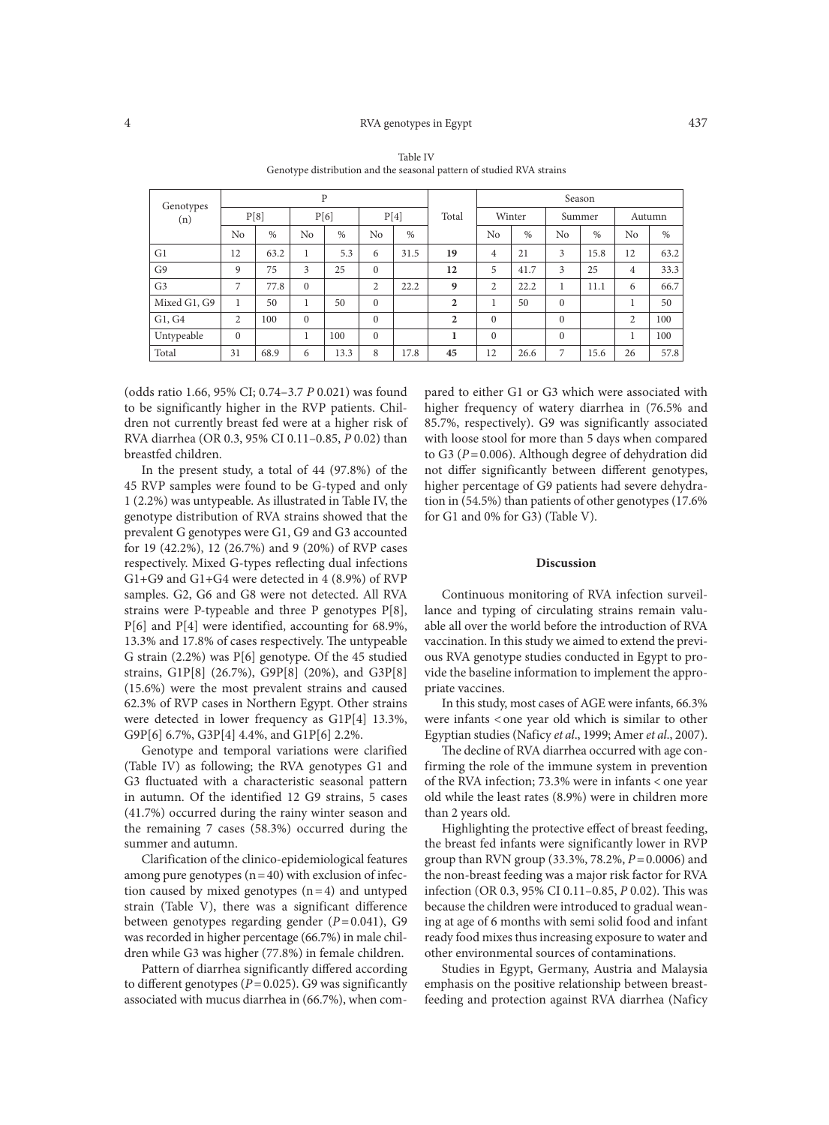### 4 RVA genotypes in Egypt 437

|                  |              |      |                | $\mathbf{P}$ |                |      |                | Season         |        |              |        |                |        |
|------------------|--------------|------|----------------|--------------|----------------|------|----------------|----------------|--------|--------------|--------|----------------|--------|
| Genotypes<br>(n) |              | P[8] |                | P[6]         |                | P[4] | Total          |                | Winter |              | Summer |                | Autumn |
|                  | No           | $\%$ | No             | $\%$         | N <sub>0</sub> | $\%$ |                | No             | $\%$   | No           | $\%$   | No             | $\%$   |
| G1               | 12           | 63.2 |                | 5.3          | 6              | 31.5 | 19             | $\overline{4}$ | 21     | 3            | 15.8   | 12             | 63.2   |
| G <sub>9</sub>   | 9            | 75   | 3              | 25           | $\mathbf{0}$   |      | 12             | 5              | 41.7   | 3            | 25     | $\overline{4}$ | 33.3   |
| G <sub>3</sub>   | 7            | 77.8 | $\Omega$       |              | 2              | 22.2 | 9              | $\overline{2}$ | 22.2   | 1            | 11.1   | 6              | 66.7   |
| Mixed G1, G9     | 1            | 50   | ı.             | 50           | $\Omega$       |      | $\overline{2}$ |                | 50     | $\mathbf{0}$ |        | Τ.             | 50     |
| G1, G4           | 2            | 100  | $\overline{0}$ |              | $\Omega$       |      | $\overline{2}$ | $\mathbf{0}$   |        | $\mathbf{0}$ |        | 2              | 100    |
| Untypeable       | $\mathbf{0}$ |      |                | 100          | $\Omega$       |      |                | $\mathbf{0}$   |        | $\Omega$     |        |                | 100    |
| Total            | 31           | 68.9 | 6              | 13.3         | 8              | 17.8 | 45             | 12             | 26.6   | 7            | 15.6   | 26             | 57.8   |

Table IV Genotype distribution and the seasonal pattern of studied RVA strains

(odds ratio 1.66, 95% CI; 0.74–3.7 *P* 0.021) was found to be significantly higher in the RVP patients. Children not currently breast fed were at a higher risk of RVA diarrhea (OR 0.3, 95% CI 0.11–0.85, *P* 0.02) than breastfed children.

In the present study, a total of 44 (97.8%) of the 45 RVP samples were found to be G-typed and only 1 (2.2%) was untypeable. As illustrated in Table IV, the genotype distribution of RVA strains showed that the prevalent G genotypes were G1, G9 and G3 accounted for 19 (42.2%), 12 (26.7%) and 9 (20%) of RVP cases respectively. Mixed G-types reflecting dual infections G1+G9 and G1+G4 were detected in 4 (8.9%) of RVP samples. G2, G6 and G8 were not detected. All RVA strains were P-typeable and three P genotypes P[8], P[6] and P[4] were identified, accounting for 68.9%, 13.3% and 17.8% of cases respectively. The untypeable G strain (2.2%) was P[6] genotype. Of the 45 studied strains, G1P[8] (26.7%), G9P[8] (20%), and G3P[8] (15.6%) were the most prevalent strains and caused 62.3% of RVP cases in Northern Egypt. Other strains were detected in lower frequency as G1P[4] 13.3%, G9P[6] 6.7%, G3P[4] 4.4%, and G1P[6] 2.2%.

Genotype and temporal variations were clarified (Table IV) as following; the RVA genotypes G1 and G3 fluctuated with a characteristic seasonal pattern in autumn. Of the identified 12 G9 strains, 5 cases (41.7%) occurred during the rainy winter season and the remaining 7 cases (58.3%) occurred during the summer and autumn.

Clarification of the clinico-epidemiological features among pure genotypes  $(n=40)$  with exclusion of infection caused by mixed genotypes  $(n=4)$  and untyped strain (Table V), there was a significant difference between genotypes regarding gender (*P*=0.041), G9 was recorded in higher percentage (66.7%) in male children while G3 was higher (77.8%) in female children.

Pattern of diarrhea significantly differed according to different genotypes ( $P = 0.025$ ). G9 was significantly associated with mucus diarrhea in (66.7%), when compared to either G1 or G3 which were associated with higher frequency of watery diarrhea in (76.5% and 85.7%, respectively). G9 was significantly associated with loose stool for more than 5 days when compared to G3 (*P*=0.006). Although degree of dehydration did not differ significantly between different genotypes, higher percentage of G9 patients had severe dehydration in (54.5%) than patients of other genotypes (17.6% for G1 and 0% for G3) (Table V).

#### **Discussion**

Continuous monitoring of RVA infection surveillance and typing of circulating strains remain valuable all over the world before the introduction of RVA vaccination. In this study we aimed to extend the previous RVA genotype studies conducted in Egypt to provide the baseline information to implement the appropriate vaccines.

In this study, most cases of AGE were infants, 66.3% were infants < one year old which is similar to other Egyptian studies (Naficy *et al*., 1999; Amer *et al*., 2007).

The decline of RVA diarrhea occurred with age confirming the role of the immune system in prevention of the RVA infection; 73.3% were in infants < one year old while the least rates (8.9%) were in children more than 2 years old.

Highlighting the protective effect of breast feeding, the breast fed infants were significantly lower in RVP group than RVN group (33.3%, 78.2%, *P*=0.0006) and the non-breast feeding was a major risk factor for RVA infection (OR 0.3, 95% CI 0.11–0.85, *P* 0.02). This was because the children were introduced to gradual weaning at age of 6 months with semi solid food and infant ready food mixes thus increasing exposure to water and other environmental sources of contaminations.

Studies in Egypt, Germany, Austria and Malaysia emphasis on the positive relationship between breastfeeding and protection against RVA diarrhea (Naficy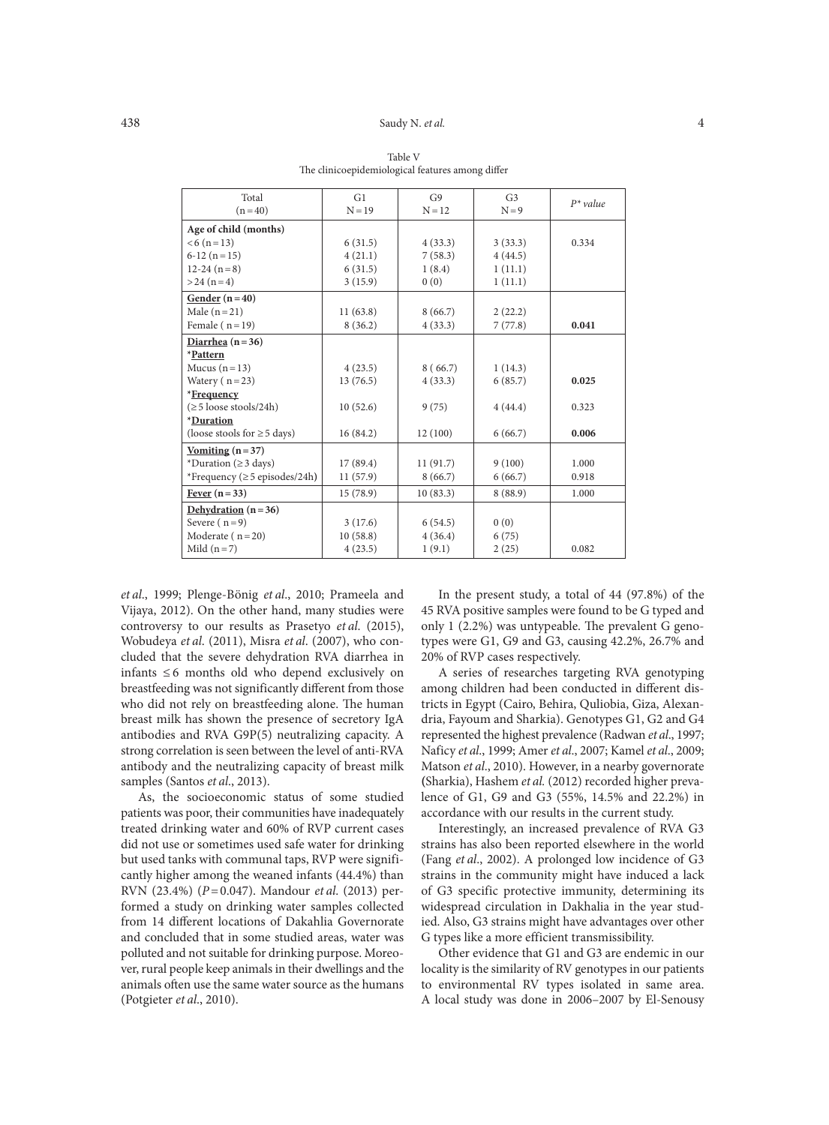| Total                                | G1       | G9       | G <sub>3</sub> | $P^*$ value |
|--------------------------------------|----------|----------|----------------|-------------|
| $(n=40)$                             | $N = 19$ | $N = 12$ | $N=9$          |             |
| Age of child (months)                |          |          |                |             |
| $< 6 (n = 13)$                       | 6(31.5)  | 4(33.3)  | 3(33.3)        | 0.334       |
| $6-12(n=15)$                         | 4(21.1)  | 7(58.3)  | 4(44.5)        |             |
| $12-24(n=8)$                         | 6(31.5)  | 1(8.4)   | 1(11.1)        |             |
| $> 24 (n=4)$                         | 3(15.9)  | 0(0)     | 1(11.1)        |             |
| Gender $(n=40)$                      |          |          |                |             |
| Male $(n=21)$                        | 11(63.8) | 8(66.7)  | 2(22.2)        |             |
| Female ( $n=19$ )                    | 8(36.2)  | 4(33.3)  | 7(77.8)        | 0.041       |
| Diarrhea ( $n = 36$ )                |          |          |                |             |
| *Pattern                             |          |          |                |             |
| Mucus $(n=13)$                       | 4(23.5)  | 8(66.7)  | 1(14.3)        |             |
| Watery $(n=23)$                      | 13(76.5) | 4(33.3)  | 6(85.7)        | 0.025       |
| *Frequency                           |          |          |                |             |
| $(\geq 5 \text{ loose schools}/24h)$ | 10(52.6) | 9(75)    | 4(44.4)        | 0.323       |
| *Duration                            |          |          |                |             |
| (loose stools for $\geq$ 5 days)     | 16(84.2) | 12(100)  | 6(66.7)        | 0.006       |
| <u>Vomiting</u> $(n=37)$             |          |          |                |             |
| *Duration ( $\geq$ 3 days)           | 17(89.4) | 11(91.7) | 9(100)         | 1.000       |
| *Frequency ( $\geq$ 5 episodes/24h)  | 11(57.9) | 8(66.7)  | 6(66.7)        | 0.918       |
| Fever $(n=33)$                       | 15(78.9) | 10(83.3) | 8(88.9)        | 1.000       |
|                                      |          |          |                |             |

Severe (  $n=9$ ) 3 (17.6) 6 (54.5) 0 (0)<br>
Moderate (  $n=20$ ) 10 (58.8) 4 (36.4) 6 (75 Moderate (  $n=20$ ) 10 (58.8) 4 (36.4) 6 (75)

Mild  $(n=7)$  4 (23.5) 1 (9.1) 2 (25) 0.082

Table V The clinicoepidemiological features among differ

*et al*., 1999; Plenge-Bönig *et al*., 2010; Prameela and Vijaya, 2012). On the other hand, many studies were controversy to our results as Prasetyo *et al*. (2015), Wobudeya *et al*. (2011), Misra *et al*. (2007), who concluded that the severe dehydration RVA diarrhea in infants  $\leq 6$  months old who depend exclusively on breastfeeding was not significantly different from those who did not rely on breastfeeding alone. The human breast milk has shown the presence of secretory IgA antibodies and RVA G9P(5) neutralizing capacity. A strong correlation is seen between the level of anti-RVA antibody and the neutralizing capacity of breast milk samples (Santos *et al*., 2013).

**Dehydration (n=36)**

As, the socioeconomic status of some studied patients was poor, their communities have inadequately treated drinking water and 60% of RVP current cases did not use or sometimes used safe water for drinking but used tanks with communal taps, RVP were significantly higher among the weaned infants (44.4%) than RVN (23.4%) (*P*=0.047). Mandour *et al*. (2013) performed a study on drinking water samples collected from 14 different locations of Dakahlia Governorate and concluded that in some studied areas, water was polluted and not suitable for drinking purpose. Moreover, rural people keep animals in their dwellings and the animals often use the same water source as the humans (Potgieter *et al*., 2010).

In the present study, a total of 44 (97.8%) of the 45 RVA positive samples were found to be G typed and only 1 (2.2%) was untypeable. The prevalent G genotypes were G1, G9 and G3, causing 42.2%, 26.7% and 20% of RVP cases respectively.

A series of researches targeting RVA genotyping among children had been conducted in different districts in Egypt (Cairo, Behira, Quliobia, Giza, Alexandria, Fayoum and Sharkia). Genotypes G1, G2 and G4 represented the highest prevalence (Radwan *et al*., 1997; Naficy *et al*., 1999; Amer *et al*., 2007; Kamel *et al*., 2009; Matson *et al*., 2010). However, in a nearby governorate **(**Sharkia), Hashem *et al.* (2012) recorded higher prevalence of G1, G9 and G3 (55%, 14.5% and 22.2%) in accordance with our results in the current study.

Interestingly, an increased prevalence of RVA G3 strains has also been reported elsewhere in the world (Fang *et al*., 2002). A prolonged low incidence of G3 strains in the community might have induced a lack of G3 specific protective immunity, determining its widespread circulation in Dakhalia in the year studied. Also, G3 strains might have advantages over other G types like a more efficient transmissibility.

Other evidence that G1 and G3 are endemic in our locality is the similarity of RV genotypes in our patients to environmental RV types isolated in same area. A local study was done in 2006–2007 by El-Senousy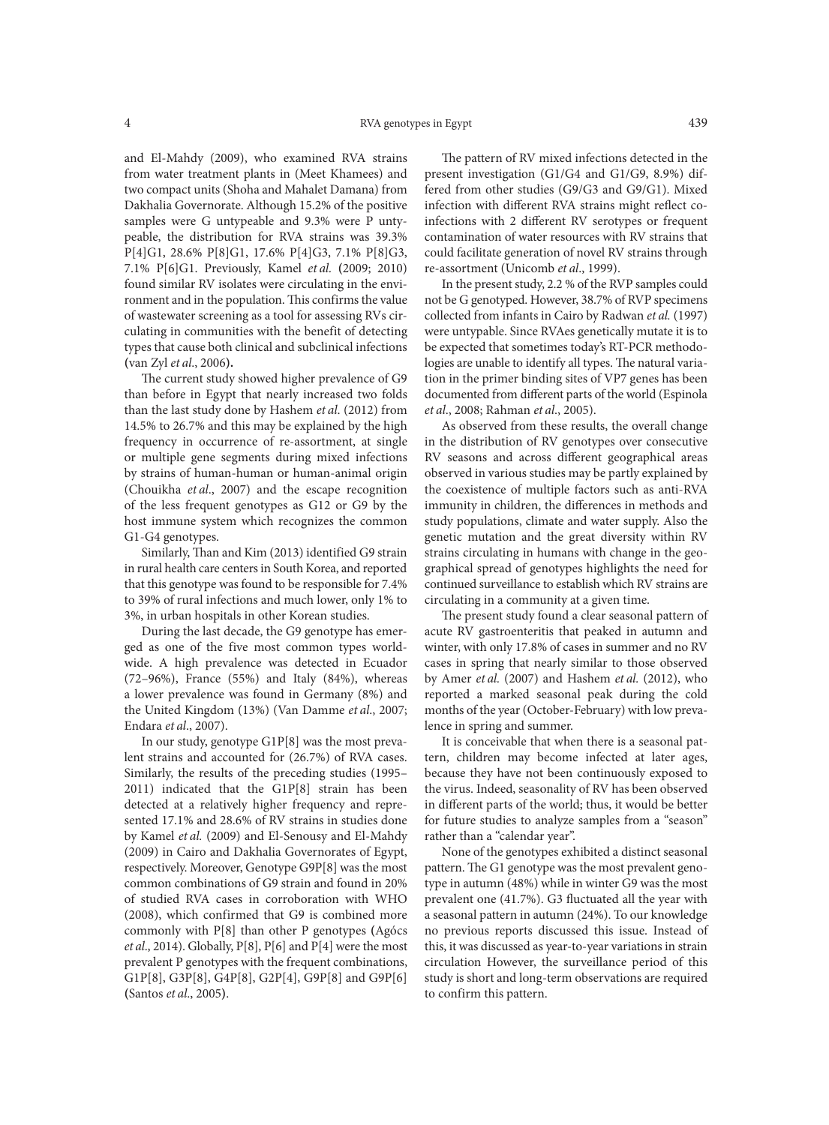and El-Mahdy (2009), who examined RVA strains from water treatment plants in (Meet Khamees) and two compact units (Shoha and Mahalet Damana) from Dakhalia Governorate. Although 15.2% of the positive samples were G untypeable and 9.3% were P untypeable, the distribution for RVA strains was 39.3% P[4]G1, 28.6% P[8]G1, 17.6% P[4]G3, 7.1% P[8]G3, 7.1% P[6]G1. Previously, Kamel *et al.* **(**2009; 2010) found similar RV isolates were circulating in the environment and in the population. This confirms the value of wastewater screening as a tool for assessing RVs circulating in communities with the benefit of detecting types that cause both clinical and subclinical infections **(**van Zyl *et al*., 2006**).** 

The current study showed higher prevalence of G9 than before in Egypt that nearly increased two folds than the last study done by Hashem *et al*. (2012) from 14.5% to 26.7% and this may be explained by the high frequency in occurrence of re-assortment, at single or multiple gene segments during mixed infections by strains of human-human or human-animal origin (Chouikha *et al*., 2007) and the escape recognition of the less frequent genotypes as G12 or G9 by the host immune system which recognizes the common G1-G4 genotypes.

Similarly, Than and Kim (2013) identified G9 strain in rural health care centers in South Korea, and reported that this genotype was found to be responsible for 7.4% to 39% of rural infections and much lower, only 1% to 3%, in urban hospitals in other Korean studies.

During the last decade, the G9 genotype has emerged as one of the five most common types worldwide. A high prevalence was detected in Ecuador (72–96%), France (55%) and Italy (84%), whereas a lower prevalence was found in Germany (8%) and the United Kingdom (13%) (Van Damme *et al*., 2007; Endara *et al*., 2007).

In our study, genotype G1P[8] was the most prevalent strains and accounted for (26.7%) of RVA cases. Similarly, the results of the preceding studies (1995– 2011) indicated that the G1P[8] strain has been detected at a relatively higher frequency and represented 17.1% and 28.6% of RV strains in studies done by Kamel *et al.* (2009) and El-Senousy and El-Mahdy (2009) in Cairo and Dakhalia Governorates of Egypt, respectively. Moreover, Genotype G9P[8] was the most common combinations of G9 strain and found in 20% of studied RVA cases in corroboration with WHO (2008), which confirmed that G9 is combined more commonly with P[8] than other P genotypes **(**Agócs *et al*., 2014). Globally, P[8], P[6] and P[4] were the most prevalent P genotypes with the frequent combinations, G1P[8], G3P[8], G4P[8], G2P[4], G9P[8] and G9P[6] **(**Santos *et al*., 2005**)**.

The pattern of RV mixed infections detected in the present investigation (G1/G4 and G1/G9, 8.9%) differed from other studies (G9/G3 and G9/G1). Mixed infection with different RVA strains might reflect coinfections with 2 different RV serotypes or frequent contamination of water resources with RV strains that could facilitate generation of novel RV strains through re-assortment (Unicomb *et al*., 1999).

In the present study, 2.2 % of the RVP samples could not be G genotyped. However, 38.7% of RVP specimens collected from infants in Cairo by Radwan *et al.* (1997) were untypable. Since RVAes genetically mutate it is to be expected that sometimes today's RT-PCR methodologies are unable to identify all types. The natural variation in the primer binding sites of VP7 genes has been documented from different parts of the world (Espinola *et al*., 2008; Rahman *et al*., 2005).

As observed from these results, the overall change in the distribution of RV genotypes over consecutive RV seasons and across different geographical areas observed in various studies may be partly explained by the coexistence of multiple factors such as anti-RVA immunity in children, the differences in methods and study populations, climate and water supply. Also the genetic mutation and the great diversity within RV strains circulating in humans with change in the geographical spread of genotypes highlights the need for continued surveillance to establish which RV strains are circulating in a community at a given time.

The present study found a clear seasonal pattern of acute RV gastroenteritis that peaked in autumn and winter, with only 17.8% of cases in summer and no RV cases in spring that nearly similar to those observed by Amer *et al.* (2007) and Hashem *et al.* (2012), who reported a marked seasonal peak during the cold months of the year (October-February) with low prevalence in spring and summer.

It is conceivable that when there is a seasonal pattern, children may become infected at later ages, because they have not been continuously exposed to the virus. Indeed, seasonality of RV has been observed in different parts of the world; thus, it would be better for future studies to analyze samples from a "season" rather than a "calendar year".

None of the genotypes exhibited a distinct seasonal pattern. The G1 genotype was the most prevalent genotype in autumn (48%) while in winter G9 was the most prevalent one (41.7%). G3 fluctuated all the year with a seasonal pattern in autumn (24%). To our knowledge no previous reports discussed this issue. Instead of this, it was discussed as year-to-year variations in strain circulation However, the surveillance period of this study is short and long-term observations are required to confirm this pattern.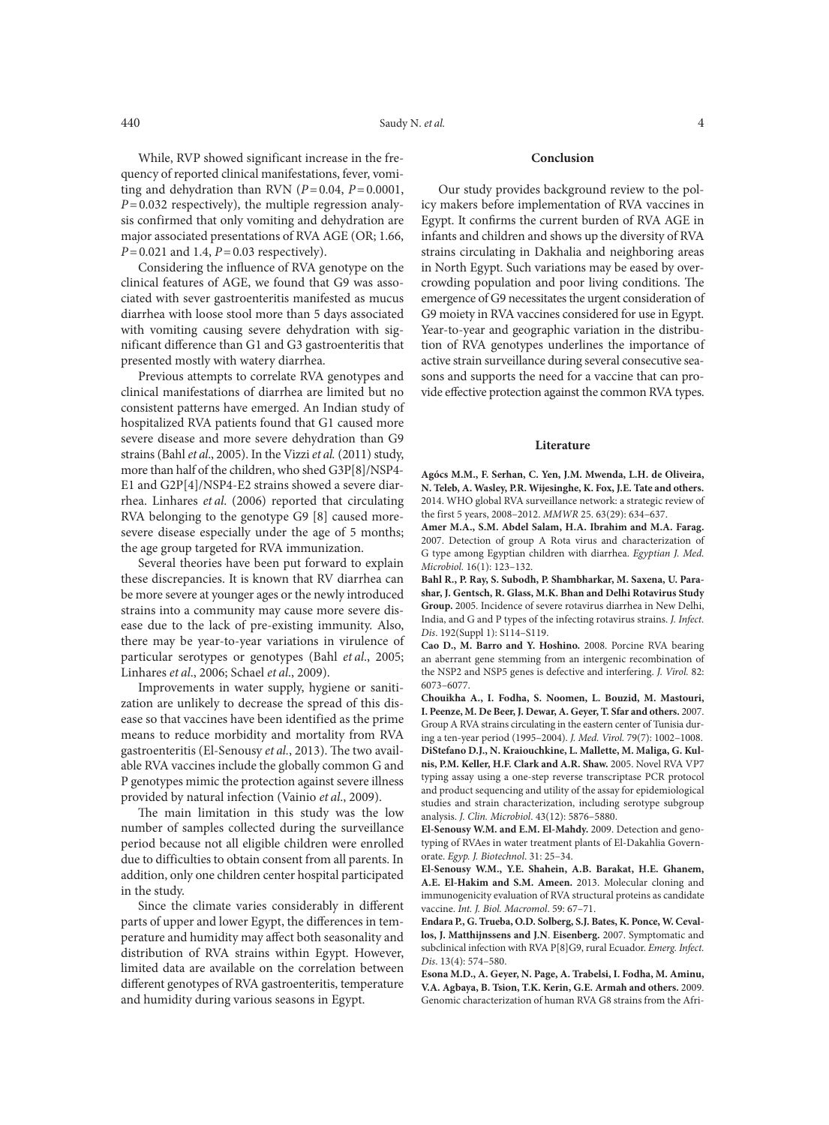While, RVP showed significant increase in the frequency of reported clinical manifestations, fever, vomiting and dehydration than RVN  $(P=0.04, P=0.0001, P=0.0001)$ *P*=0.032 respectively), the multiple regression analysis confirmed that only vomiting and dehydration are major associated presentations of RVA AGE (OR; 1.66, *P*=0.021 and 1.4, *P*=0.03 respectively).

Considering the influence of RVA genotype on the clinical features of AGE, we found that G9 was associated with sever gastroenteritis manifested as mucus diarrhea with loose stool more than 5 days associated with vomiting causing severe dehydration with significant difference than G1 and G3 gastroenteritis that presented mostly with watery diarrhea.

Previous attempts to correlate RVA genotypes and clinical manifestations of diarrhea are limited but no consistent patterns have emerged. An Indian study of hospitalized RVA patients found that G1 caused more severe disease and more severe dehydration than G9 strains (Bahl *et al*., 2005). In the Vizzi *et al.* (2011) study, more than half of the children, who shed G3P[8]/NSP4- E1 and G2P[4]/NSP4-E2 strains showed a severe diarrhea. Linhares *et al*. (2006) reported that circulating RVA belonging to the genotype G9 [8] caused moresevere disease especially under the age of 5 months; the age group targeted for RVA immunization.

Several theories have been put forward to explain these discrepancies. It is known that RV diarrhea can be more severe at younger ages or the newly introduced strains into a community may cause more severe disease due to the lack of pre-existing immunity. Also, there may be year-to-year variations in virulence of particular serotypes or genotypes (Bahl *et al*., 2005; Linhares *et al*., 2006; Schael *et al*., 2009).

Improvements in water supply, hygiene or sanitization are unlikely to decrease the spread of this disease so that vaccines have been identified as the prime means to reduce morbidity and mortality from RVA gastroenteritis (El-Senousy *et al.*, 2013). The two available RVA vaccines include the globally common G and P genotypes mimic the protection against severe illness provided by natural infection (Vainio *et al*., 2009).

The main limitation in this study was the low number of samples collected during the surveillance period because not all eligible children were enrolled due to difficulties to obtain consent from all parents. In addition, only one children center hospital participated in the study.

Since the climate varies considerably in different parts of upper and lower Egypt, the differences in temperature and humidity may affect both seasonality and distribution of RVA strains within Egypt. However, limited data are available on the correlation between different genotypes of RVA gastroenteritis, temperature and humidity during various seasons in Egypt.

#### **Conclusion**

Our study provides background review to the policy makers before implementation of RVA vaccines in Egypt. It confirms the current burden of RVA AGE in infants and children and shows up the diversity of RVA strains circulating in Dakhalia and neighboring areas in North Egypt. Such variations may be eased by overcrowding population and poor living conditions. The emergence of G9 necessitates the urgent consideration of G9 moiety in RVA vaccines considered for use in Egypt. Year-to-year and geographic variation in the distribution of RVA genotypes underlines the importance of active strain surveillance during several consecutive seasons and supports the need for a vaccine that can provide effective protection against the common RVA types.

### **Literature**

**Agócs M.M., F. Serhan, C. Yen, J.M. Mwenda, L.H. de Oliveira, N. Teleb, A. Wasley, P.R. Wijesinghe, K. Fox, J.E. Tate and others.** 2014. WHO global RVA surveillance network: a strategic review of the first 5 years, 2008–2012. *MMWR* 25. 63(29): 634–637.

**Amer M.A., S.M. Abdel Salam, H.A. Ibrahim and M.A. Farag.** 2007. Detection of group A Rota virus and characterization of G type among Egyptian children with diarrhea. *Egyptian J. Med. Microbiol.* 16(1): 123–132.

**Bahl R., P. Ray, S. Subodh, P. Shambharkar, M. Saxena, U. Parashar, J. Gentsch, R. Glass, M.K. Bhan and Delhi Rotavirus Study Group.** 2005. Incidence of severe rotavirus diarrhea in New Delhi, India, and G and P types of the infecting rotavirus strains. *J. Infect. Dis*. 192(Suppl 1): S114–S119.

**Cao D., M. Barro and Y. Hoshino.** 2008. Porcine RVA bearing an aberrant gene stemming from an intergenic recombination of the NSP2 and NSP5 genes is defective and interfering. *J. Virol.* 82: 6073–6077.

**Chouikha A., I. Fodha, S. Noomen, L. Bouzid, M. Mastouri, I. Peenze, M. De Beer, J. Dewar, A. Geyer, T. Sfar and others.** 2007. Group A RVA strains circulating in the eastern center of Tunisia during a ten-year period (1995–2004). *J. Med. Virol.* 79(7): 1002–1008. **DiStefano D.J., N. Kraiouchkine, L. Mallette, M. Maliga, G. Kulnis, P.M. Keller, H.F. Clark and A.R. Shaw.** 2005. Novel RVA VP7 typing assay using a one-step reverse transcriptase PCR protocol and product sequencing and utility of the assay for epidemiological studies and strain characterization, including serotype subgroup analysis. *J. Clin. Microbiol*. 43(12): 5876–5880.

**El-Senousy W.M. and E.M. El-Mahdy.** 2009. Detection and genotyping of RVAes in water treatment plants of El-Dakahlia Governorate. *Egyp. J. Biotechnol*. 31: 25–34.

**El-Senousy W.M., Y.E. Shahein, A.B. Barakat, H.E. Ghanem, A.E. El-Hakim and S.M. Ameen.** 2013. Molecular cloning and immunogenicity evaluation of RVA structural proteins as candidate vaccine. *Int. J. Biol. Macromol*. 59: 67–71.

**Endara P., G. Trueba, O.D. Solberg, S.J. Bates, K. Ponce, W. Cevallos, J. Matthijnssens and J.N**. **Eisenberg.** 2007. Symptomatic and subclinical infection with RVA P[8]G9, rural Ecuador. *Emerg. Infect. Dis*. 13(4): 574–580.

**Esona M.D., A. Geyer, N. Page, A. Trabelsi, I. Fodha, M. Aminu, V.A. Agbaya, B. Tsion, T.K. Kerin, G.E. Armah and others.** 2009. Genomic characterization of human RVA G8 strains from the Afri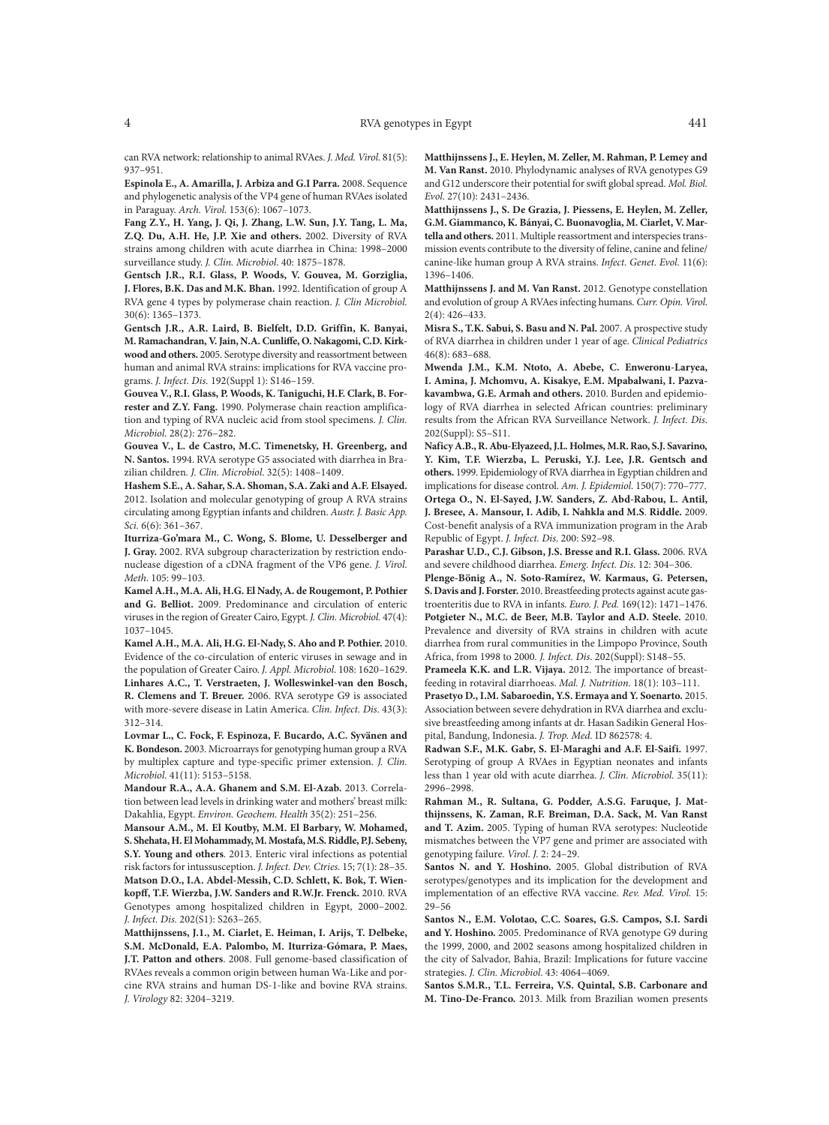can RVA network: relationship to animal RVAes. *J. Med. Virol*. 81(5): 937–951.

**Espinola E., A. Amarilla, J. Arbiza and G.I Parra.** 2008. Sequence and phylogenetic analysis of the VP4 gene of human RVAes isolated in Paraguay. *Arch. Virol*. 153(6): 1067–1073.

**Fang Z.Y., H. Yang, J. Qi, J. Zhang, L.W. Sun, J.Y. Tang, L. Ma, Z.Q. Du, A.H. He, J.P. Xie and others.** 2002. Diversity of RVA strains among children with acute diarrhea in China: 1998–2000 surveillance study. *J. Clin. Microbiol*. 40: 1875–1878.

**Gentsch J.R., R.I. Glass, P. Woods, V. Gouvea, M. Gorziglia, J. Flores, B.K. Das and M.K. Bhan.** 1992. Identification of group A RVA gene 4 types by polymerase chain reaction. *J. Clin Microbiol.* 30(6): 1365–1373.

**Gentsch J.R., A.R. Laird, B. Bielfelt, D.D. Griffin, K. Banyai, M. Ramachandran, V.Jain, N.A.Cunliffe, O. Nakagomi, C.D. Kirkwood and others.** 2005. Serotype diversity and reassortment between human and animal RVA strains: implications for RVA vaccine programs. *J. Infect. Dis.* 192(Suppl 1): S146–159.

**Gouvea V., R.I. Glass, P. Woods, K. Taniguchi, H.F. Clark, B. Forrester and Z.Y. Fang.** 1990. Polymerase chain reaction amplification and typing of RVA nucleic acid from stool specimens. *J. Clin. Microbiol*. 28(2): 276–282.

**Gouvea V., L. de Castro, M.C. Timenetsky, H. Greenberg, and N. Santos.** 1994. RVA serotype G5 associated with diarrhea in Brazilian children*. J. Clin. Microbiol*. 32(5): 1408–1409.

**Hashem S.E., A. Sahar, S.A. Shoman, S.A. Zaki and A.F. Elsayed.** 2012. Isolation and molecular genotyping of group A RVA strains circulating among Egyptian infants and children. *Austr. J. Basic App. Sci.* 6(6): 361–367.

**Iturriza-Go'mara M., C. Wong, S. Blome, U. Desselberger and J. Gray.** 2002. RVA subgroup characterization by restriction endonuclease digestion of a cDNA fragment of the VP6 gene. *J. Virol. Meth*. 105: 99–103.

**Kamel A.H., M.A. Ali, H.G. El Nady, A. de Rougemont, P. Pothier and G. Belliot.** 2009. Predominance and circulation of enteric viruses in the region of Greater Cairo, Egypt. *J. Clin. Microbiol.* 47(4): 1037–1045.

**Kamel A.H., M.A. Ali, H.G. El-Nady, S. Aho and P. Pothier.** 2010. Evidence of the co-circulation of enteric viruses in sewage and in the population of Greater Cairo. *J. Appl. Microbiol*. 108: 1620–1629. **Linhares A.C., T. Verstraeten, J. Wolleswinkel-van den Bosch, R. Clemens and T. Breuer.** 2006. RVA serotype G9 is associated with more-severe disease in Latin America. *Clin. Infect. Dis*. 43(3): 312–314.

**Lovmar L., C. Fock, F. Espinoza, F. Bucardo, A.C. Syvänen and K. Bondeson.** 2003. Microarrays for genotyping human group a RVA by multiplex capture and type-specific primer extension. *J. Clin. Microbiol*. 41(11): 5153–5158.

**Mandour R.A., A.A. Ghanem and S.M. El-Azab.** 2013. Correlation between lead levels in drinking water and mothers' breast milk: Dakahlia, Egypt. *Environ. Geochem. Health* 35(2): 251–256.

**Mansour A.M., M. El Koutby, M.M. El Barbary, W. Mohamed, S. Shehata, H. El Mohammady, M. Mostafa, M.S. Riddle, P.J. Sebeny, S.Y. Young and others**. 2013. Enteric viral infections as potential risk factors for intussusception. *J. Infect. Dev. Ctries*. 15; 7(1): 28–35. **Matson D.O., I.A. Abdel-Messih, C.D. Schlett, K. Bok, T. Wienkopff, T.F. Wierzba, J.W. Sanders and R.W.Jr. Frenck.** 2010. RVA Genotypes among hospitalized children in Egypt, 2000–2002. *J. Infect. Dis.* 202(S1): S263–265.

**Matthijnssens, J.1., M. Ciarlet, E. Heiman, I. Arijs, T. Delbeke, S.M. McDonald, E.A. Palombo, M. Iturriza-Gómara, P. Maes, J.T. Patton and others**. 2008. Full genome-based classification of RVAes reveals a common origin between human Wa-Like and porcine RVA strains and human DS-1-like and bovine RVA strains. *J. Virology* 82: 3204–3219.

**Matthijnssens J., E. Heylen, M. Zeller, M. Rahman, P. Lemey and M. Van Ranst.** 2010. Phylodynamic analyses of RVA genotypes G9 and G12 underscore their potential for swift global spread. *Mol. Biol. Evol*. 27(10): 2431–2436.

**Matthijnssens J., S. De Grazia, J. Piessens, E. Heylen, M. Zeller, G.M. Giammanco, K. Bányai, C. Buonavoglia, M. Ciarlet, V. Martella and others.** 2011. Multiple reassortment and interspecies transmission events contribute to the diversity of feline, canine and feline/ canine-like human group A RVA strains. *Infect. Genet. Evol.* 11(6): 1396–1406.

**Matthijnssens J. and M. Van Ranst.** 2012. Genotype constellation and evolution of group A RVAes infecting humans. *Curr. Opin. Virol*. 2(4): 426–433.

**Misra S., T.K. Sabui, S. Basu and N. Pal.** 2007. A prospective study of RVA diarrhea in children under 1 year of age. *Clinical Pediatrics* 46(8): 683–688.

**Mwenda J.M., K.M. Ntoto, A. Abebe, C. Enweronu-Laryea, I. Amina, J. Mchomvu, A. Kisakye, E.M. Mpabalwani, I. Pazvakavambwa, G.E. Armah and others.** 2010. Burden and epidemiology of RVA diarrhea in selected African countries: preliminary results from the African RVA Surveillance Network. *J. Infect. Dis*. 202(Suppl): S5–S11.

**Naficy A.B., R. Abu-Elyazeed, J.L. Holmes, M.R. Rao, S.J. Savarino, Y. Kim, T.F. Wierzba, L. Peruski, Y.J. Lee, J.R. Gentsch and others.** 1999. Epidemiology of RVA diarrhea in Egyptian children and implications for disease control. *Am. J. Epidemiol*. 150(7): 770–777. **Ortega O., N. El-Sayed, J.W. Sanders, Z. Abd-Rabou, L. Antil, J. Bresee, A. Mansour, I. Adib, I. Nahkla and M.S**. **Riddle.** 2009. Cost-benefit analysis of a RVA immunization program in the Arab Republic of Egypt. *J. Infect. Dis*. 200: S92–98.

**Parashar U.D., C.J. Gibson, J.S. Bresse and R.I. Glass.** 2006. RVA and severe childhood diarrhea. *Emerg. Infect. Dis*. 12: 304–306.

**Plenge-Bönig A., N. Soto-Ramírez, W. Karmaus, G. Petersen, S.Davis and J.Forster.** 2010. Breastfeeding protects against acute gastroenteritis due to RVA in infants. *Euro. J. Ped.* 169(12): 1471–1476. **Potgieter N., M.C. de Beer, M.B. Taylor and A.D. Steele.** 2010. Prevalence and diversity of RVA strains in children with acute diarrhea from rural communities in the Limpopo Province, South Africa, from 1998 to 2000*. J. Infect. Dis*. 202(Suppl): S148–55.

**Prameela K.K. and L.R. Vijaya.** 2012. The importance of breastfeeding in rotaviral diarrhoeas. *Mal. J. Nutrition*. 18(1): 103–111.

**Prasetyo D., I.M. Sabaroedin, Y.S. Ermaya and Y. Soenarto.** 2015. Association between severe dehydration in RVA diarrhea and exclusive breastfeeding among infants at dr. Hasan Sadikin General Hospital, Bandung, Indonesia. *J. Trop. Med.* ID 862578: 4.

**Radwan S.F., M.K. Gabr, S. El-Maraghi and A.F. El-Saifi.** 1997. Serotyping of group A RVAes in Egyptian neonates and infants less than 1 year old with acute diarrhea. *J. Clin. Microbiol.* 35(11): 2996–2998.

**Rahman M., R. Sultana, G. Podder, A.S.G. Faruque, J. Matthijnssens, K. Zaman, R.F. Breiman, D.A. Sack, M. Van Ranst and T. Azim.** 2005. Typing of human RVA serotypes: Nucleotide mismatches between the VP7 gene and primer are associated with genotyping failure. *Virol. J.* 2: 24–29.

**Santos N. and Y. Hoshino.** 2005. Global distribution of RVA serotypes/genotypes and its implication for the development and implementation of an effective RVA vaccine. *Rev. Med. Virol.* 15: 29–56

**Santos N., E.M. Volotao, C.C. Soares, G.S. Campos, S.I. Sardi and Y. Hoshino.** 2005. Predominance of RVA genotype G9 during the 1999, 2000, and 2002 seasons among hospitalized children in the city of Salvador, Bahia, Brazil: Implications for future vaccine strategies. *J. Clin. Microbiol*. 43: 4064–4069.

**Santos S.M.R., T.L. Ferreira, V.S. Quintal, S.B. Carbonare and M. Tino-De-Franco.** 2013. Milk from Brazilian women presents